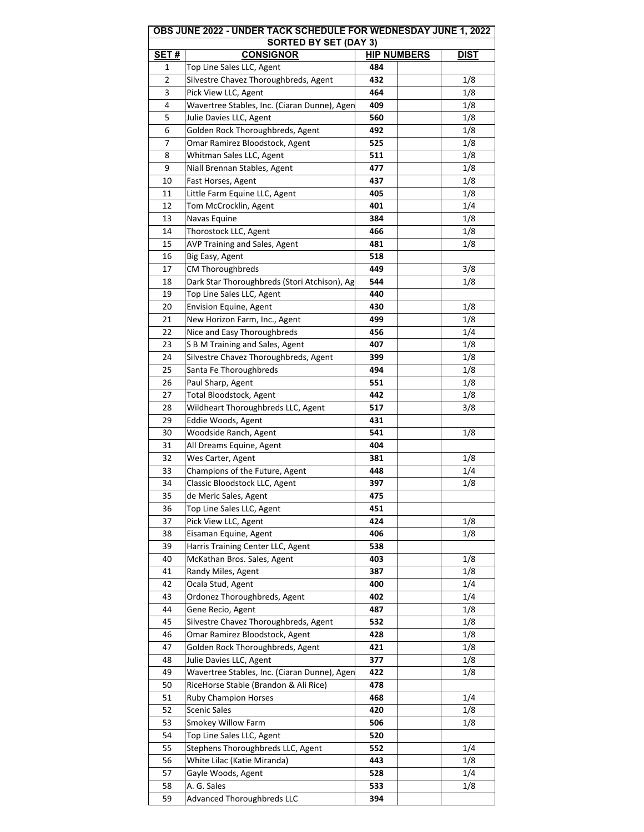|                              | OBS JUNE 2022 - UNDER TACK SCHEDULE FOR WEDNESDAY JUNE 1, 2022 |                    |             |  |  |  |
|------------------------------|----------------------------------------------------------------|--------------------|-------------|--|--|--|
| <b>SORTED BY SET (DAY 3)</b> |                                                                |                    |             |  |  |  |
| <b>SET#</b>                  | <b>CONSIGNOR</b>                                               | <b>HIP NUMBERS</b> | <b>DIST</b> |  |  |  |
| 1                            | Top Line Sales LLC, Agent                                      | 484                |             |  |  |  |
| 2                            | Silvestre Chavez Thoroughbreds, Agent                          | 432                | 1/8         |  |  |  |
| 3                            | Pick View LLC, Agent                                           | 464                | 1/8         |  |  |  |
| 4                            | Wavertree Stables, Inc. (Ciaran Dunne), Agen                   | 409                | 1/8         |  |  |  |
| 5                            | Julie Davies LLC, Agent                                        | 560                | 1/8         |  |  |  |
| 6                            | Golden Rock Thoroughbreds, Agent                               | 492                | 1/8         |  |  |  |
| 7                            | Omar Ramirez Bloodstock, Agent                                 | 525                | 1/8         |  |  |  |
| 8                            | Whitman Sales LLC, Agent                                       | 511                | 1/8         |  |  |  |
| 9                            | Niall Brennan Stables, Agent                                   | 477                | 1/8         |  |  |  |
| 10                           | Fast Horses, Agent                                             | 437                | 1/8         |  |  |  |
| 11                           | Little Farm Equine LLC, Agent                                  | 405                | 1/8         |  |  |  |
| 12                           | Tom McCrocklin, Agent                                          | 401                | 1/4         |  |  |  |
| 13                           | Navas Equine                                                   | 384                | 1/8         |  |  |  |
| 14                           | Thorostock LLC, Agent                                          | 466                | 1/8         |  |  |  |
| 15                           | AVP Training and Sales, Agent                                  | 481                | 1/8         |  |  |  |
| 16                           | Big Easy, Agent                                                | 518                |             |  |  |  |
| 17                           | <b>CM Thoroughbreds</b>                                        | 449                | 3/8         |  |  |  |
| 18                           | Dark Star Thoroughbreds (Stori Atchison), Ag                   | 544                | 1/8         |  |  |  |
| 19                           | Top Line Sales LLC, Agent                                      | 440                |             |  |  |  |
| 20                           |                                                                | 430                | 1/8         |  |  |  |
|                              | Envision Equine, Agent                                         |                    |             |  |  |  |
| 21                           | New Horizon Farm, Inc., Agent                                  | 499                | 1/8         |  |  |  |
| 22                           | Nice and Easy Thoroughbreds                                    | 456                | 1/4         |  |  |  |
| 23                           | S B M Training and Sales, Agent                                | 407                | 1/8         |  |  |  |
| 24                           | Silvestre Chavez Thoroughbreds, Agent                          | 399                | 1/8         |  |  |  |
| 25                           | Santa Fe Thoroughbreds                                         | 494                | 1/8         |  |  |  |
| 26                           | Paul Sharp, Agent                                              | 551                | 1/8         |  |  |  |
| 27                           | Total Bloodstock, Agent                                        | 442                | 1/8         |  |  |  |
| 28                           | Wildheart Thoroughbreds LLC, Agent                             | 517                | 3/8         |  |  |  |
| 29                           | Eddie Woods, Agent                                             | 431                |             |  |  |  |
| 30                           | Woodside Ranch, Agent                                          | 541                | 1/8         |  |  |  |
| 31                           | All Dreams Equine, Agent                                       | 404                |             |  |  |  |
| 32                           | Wes Carter, Agent                                              | 381                | 1/8         |  |  |  |
| 33                           | Champions of the Future, Agent                                 | 448                | 1/4         |  |  |  |
| 34                           | Classic Bloodstock LLC, Agent                                  | 397                | 1/8         |  |  |  |
| 35                           | de Meric Sales, Agent                                          | 475                |             |  |  |  |
| 36                           | Top Line Sales LLC, Agent                                      | 451                |             |  |  |  |
| 37                           | Pick View LLC, Agent                                           | 424                | 1/8         |  |  |  |
| 38                           | Eisaman Equine, Agent                                          | 406                | 1/8         |  |  |  |
| 39                           | Harris Training Center LLC, Agent                              | 538                |             |  |  |  |
| 40                           | McKathan Bros. Sales, Agent                                    | 403                | 1/8         |  |  |  |
| 41                           | Randy Miles, Agent                                             | 387                | 1/8         |  |  |  |
| 42                           | Ocala Stud, Agent                                              | 400                | 1/4         |  |  |  |
| 43                           | Ordonez Thoroughbreds, Agent                                   | 402                | 1/4         |  |  |  |
| 44                           | Gene Recio, Agent                                              | 487                | 1/8         |  |  |  |
| 45                           | Silvestre Chavez Thoroughbreds, Agent                          | 532                | 1/8         |  |  |  |
| 46                           | Omar Ramirez Bloodstock, Agent                                 | 428                | 1/8         |  |  |  |
| 47                           | Golden Rock Thoroughbreds, Agent                               | 421                | 1/8         |  |  |  |
| 48                           | Julie Davies LLC, Agent                                        | 377                | 1/8         |  |  |  |
| 49                           | Wavertree Stables, Inc. (Ciaran Dunne), Agen                   | 422                | 1/8         |  |  |  |
|                              |                                                                | 478                |             |  |  |  |
| 50                           | RiceHorse Stable (Brandon & Ali Rice)                          |                    |             |  |  |  |
| 51                           | <b>Ruby Champion Horses</b>                                    | 468                | 1/4         |  |  |  |
| 52                           | <b>Scenic Sales</b>                                            | 420                | 1/8         |  |  |  |
| 53                           | Smokey Willow Farm                                             | 506                | 1/8         |  |  |  |
| 54                           | Top Line Sales LLC, Agent                                      | 520                |             |  |  |  |
| 55                           | Stephens Thoroughbreds LLC, Agent                              | 552                | 1/4         |  |  |  |
| 56                           | White Lilac (Katie Miranda)                                    | 443                | 1/8         |  |  |  |
| 57                           | Gayle Woods, Agent                                             | 528                | 1/4         |  |  |  |
| 58                           | A. G. Sales                                                    | 533                | 1/8         |  |  |  |
| 59                           | <b>Advanced Thoroughbreds LLC</b>                              | 394                |             |  |  |  |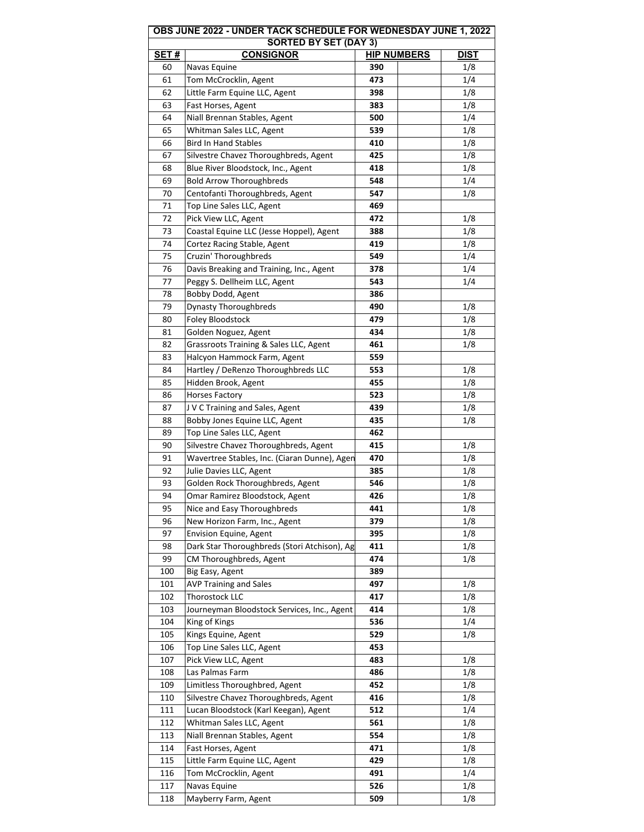|                              | OBS JUNE 2022 - UNDER TACK SCHEDULE FOR WEDNESDAY JUNE 1, 2022 |                    |             |  |  |
|------------------------------|----------------------------------------------------------------|--------------------|-------------|--|--|
| <b>SORTED BY SET (DAY 3)</b> |                                                                |                    |             |  |  |
| <b>SET#</b>                  | <b>CONSIGNOR</b>                                               | <b>HIP NUMBERS</b> | <b>DIST</b> |  |  |
| 60                           | Navas Equine                                                   | 390                | 1/8         |  |  |
| 61                           | Tom McCrocklin, Agent                                          | 473                | 1/4         |  |  |
| 62                           | Little Farm Equine LLC, Agent                                  | 398                | 1/8         |  |  |
| 63                           | Fast Horses, Agent                                             | 383                | 1/8         |  |  |
| 64                           | Niall Brennan Stables, Agent                                   | 500                | 1/4         |  |  |
| 65                           | Whitman Sales LLC, Agent                                       | 539                | 1/8         |  |  |
| 66                           | <b>Bird In Hand Stables</b>                                    | 410                | 1/8         |  |  |
| 67                           | Silvestre Chavez Thoroughbreds, Agent                          | 425                | 1/8         |  |  |
| 68                           | Blue River Bloodstock, Inc., Agent                             | 418                | 1/8         |  |  |
| 69                           | <b>Bold Arrow Thoroughbreds</b>                                | 548                | 1/4         |  |  |
| 70                           | Centofanti Thoroughbreds, Agent                                | 547                | 1/8         |  |  |
| 71                           | Top Line Sales LLC, Agent                                      | 469                |             |  |  |
| 72                           | Pick View LLC, Agent                                           | 472                | 1/8         |  |  |
| 73                           | Coastal Equine LLC (Jesse Hoppel), Agent                       | 388                | 1/8         |  |  |
| 74                           | Cortez Racing Stable, Agent                                    | 419                | 1/8         |  |  |
| 75                           |                                                                | 549                | 1/4         |  |  |
|                              | Cruzin' Thoroughbreds                                          |                    |             |  |  |
| 76                           | Davis Breaking and Training, Inc., Agent                       | 378                | 1/4         |  |  |
| 77                           | Peggy S. Dellheim LLC, Agent                                   | 543                | 1/4         |  |  |
| 78                           | Bobby Dodd, Agent                                              | 386                |             |  |  |
| 79                           | <b>Dynasty Thoroughbreds</b>                                   | 490                | 1/8         |  |  |
| 80                           | Foley Bloodstock                                               | 479                | 1/8         |  |  |
| 81                           | Golden Noguez, Agent                                           | 434                | 1/8         |  |  |
| 82                           | Grassroots Training & Sales LLC, Agent                         | 461                | 1/8         |  |  |
| 83                           | Halcyon Hammock Farm, Agent                                    | 559                |             |  |  |
| 84                           | Hartley / DeRenzo Thoroughbreds LLC                            | 553                | 1/8         |  |  |
| 85                           | Hidden Brook, Agent                                            | 455                | 1/8         |  |  |
| 86                           | <b>Horses Factory</b>                                          | 523                | 1/8         |  |  |
| 87                           | J V C Training and Sales, Agent                                | 439                | 1/8         |  |  |
| 88                           | Bobby Jones Equine LLC, Agent                                  | 435                | 1/8         |  |  |
| 89                           | Top Line Sales LLC, Agent                                      | 462                |             |  |  |
| 90                           | Silvestre Chavez Thoroughbreds, Agent                          | 415                | 1/8         |  |  |
| 91                           | Wavertree Stables, Inc. (Ciaran Dunne), Agen                   | 470                | 1/8         |  |  |
| 92                           | Julie Davies LLC, Agent                                        | 385                | 1/8         |  |  |
| 93                           | Golden Rock Thoroughbreds, Agent                               | 546                | 1/8         |  |  |
|                              | Omar Ramirez Bloodstock, Agent                                 |                    | 1/8         |  |  |
| 94                           | Nice and Easy Thoroughbreds                                    | 426<br>441         | 1/8         |  |  |
| 95                           |                                                                |                    |             |  |  |
| 96                           | New Horizon Farm, Inc., Agent                                  | 379                | 1/8         |  |  |
| 97                           | Envision Equine, Agent                                         | 395                | 1/8         |  |  |
| 98                           | Dark Star Thoroughbreds (Stori Atchison), Ag                   | 411                | 1/8         |  |  |
| 99                           | CM Thoroughbreds, Agent                                        | 474                | 1/8         |  |  |
| 100                          | Big Easy, Agent                                                | 389                |             |  |  |
| 101                          | <b>AVP Training and Sales</b>                                  | 497                | 1/8         |  |  |
| 102                          | Thorostock LLC                                                 | 417                | 1/8         |  |  |
| 103                          | Journeyman Bloodstock Services, Inc., Agent                    | 414                | 1/8         |  |  |
| 104                          | King of Kings                                                  | 536                | 1/4         |  |  |
| 105                          | Kings Equine, Agent                                            | 529                | 1/8         |  |  |
| 106                          | Top Line Sales LLC, Agent                                      | 453                |             |  |  |
| 107                          | Pick View LLC, Agent                                           | 483                | 1/8         |  |  |
| 108                          | Las Palmas Farm                                                | 486                | 1/8         |  |  |
| 109                          | Limitless Thoroughbred, Agent                                  | 452                | 1/8         |  |  |
| 110                          | Silvestre Chavez Thoroughbreds, Agent                          | 416                | 1/8         |  |  |
| 111                          | Lucan Bloodstock (Karl Keegan), Agent                          | 512                | 1/4         |  |  |
| 112                          | Whitman Sales LLC, Agent                                       | 561                | 1/8         |  |  |
| 113                          | Niall Brennan Stables, Agent                                   | 554                | 1/8         |  |  |
| 114                          | Fast Horses, Agent                                             | 471                | 1/8         |  |  |
| 115                          | Little Farm Equine LLC, Agent                                  | 429                | 1/8         |  |  |
| 116                          | Tom McCrocklin, Agent                                          | 491                | 1/4         |  |  |
| 117                          |                                                                | 526                |             |  |  |
|                              | Navas Equine                                                   |                    | 1/8         |  |  |
| 118                          | Mayberry Farm, Agent                                           | 509                | 1/8         |  |  |